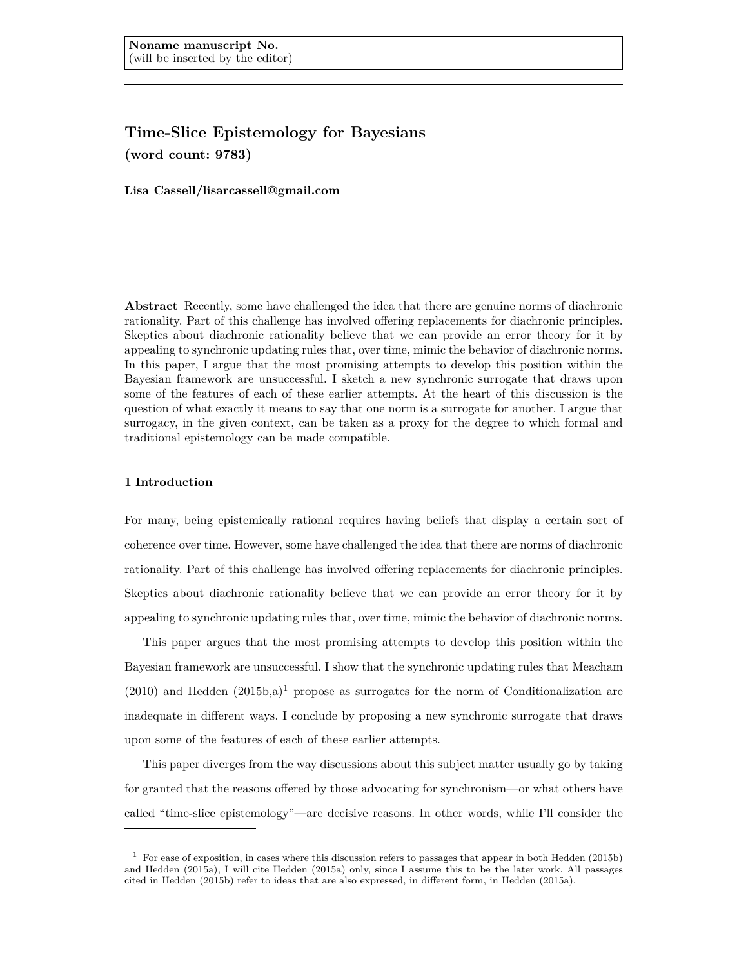# **Time-Slice Epistemology for Bayesians (word count: 9783)**

**Lisa Cassell/lisarcassell@gmail.com**

**Abstract** Recently, some have challenged the idea that there are genuine norms of diachronic rationality. Part of this challenge has involved offering replacements for diachronic principles. Skeptics about diachronic rationality believe that we can provide an error theory for it by appealing to synchronic updating rules that, over time, mimic the behavior of diachronic norms. In this paper, I argue that the most promising attempts to develop this position within the Bayesian framework are unsuccessful. I sketch a new synchronic surrogate that draws upon some of the features of each of these earlier attempts. At the heart of this discussion is the question of what exactly it means to say that one norm is a surrogate for another. I argue that surrogacy, in the given context, can be taken as a proxy for the degree to which formal and traditional epistemology can be made compatible.

# **1 Introduction**

For many, being epistemically rational requires having beliefs that display a certain sort of coherence over time. However, some have challenged the idea that there are norms of diachronic rationality. Part of this challenge has involved offering replacements for diachronic principles. Skeptics about diachronic rationality believe that we can provide an error theory for it by appealing to synchronic updating rules that, over time, mimic the behavior of diachronic norms.

This paper argues that the most promising attempts to develop this position within the Bayesian framework are unsuccessful. I show that the synchronic updating rules that Meacham  $(2010)$  and Hedden  $(2015b,a)^1$  propose as surrogates for the norm of Conditionalization are inadequate in different ways. I conclude by proposing a new synchronic surrogate that draws upon some of the features of each of these earlier attempts.

This paper diverges from the way discussions about this subject matter usually go by taking for granted that the reasons offered by those advocating for synchronism—or what others have called "time-slice epistemology"—are decisive reasons. In other words, while I'll consider the

<sup>1</sup> For ease of exposition, in cases where this discussion refers to passages that appear in both Hedden (2015b) and Hedden (2015a), I will cite Hedden (2015a) only, since I assume this to be the later work. All passages cited in Hedden (2015b) refer to ideas that are also expressed, in different form, in Hedden (2015a).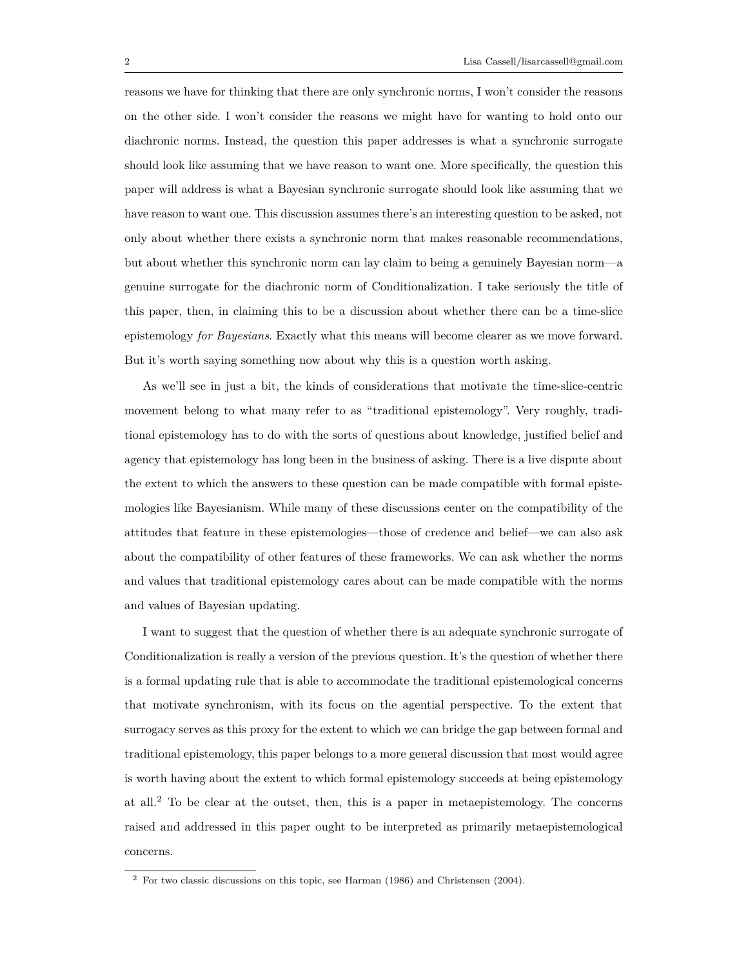reasons we have for thinking that there are only synchronic norms, I won't consider the reasons on the other side. I won't consider the reasons we might have for wanting to hold onto our diachronic norms. Instead, the question this paper addresses is what a synchronic surrogate should look like assuming that we have reason to want one. More specifically, the question this paper will address is what a Bayesian synchronic surrogate should look like assuming that we have reason to want one. This discussion assumes there's an interesting question to be asked, not only about whether there exists a synchronic norm that makes reasonable recommendations, but about whether this synchronic norm can lay claim to being a genuinely Bayesian norm—a genuine surrogate for the diachronic norm of Conditionalization. I take seriously the title of this paper, then, in claiming this to be a discussion about whether there can be a time-slice epistemology *for Bayesians*. Exactly what this means will become clearer as we move forward. But it's worth saying something now about why this is a question worth asking.

As we'll see in just a bit, the kinds of considerations that motivate the time-slice-centric movement belong to what many refer to as "traditional epistemology". Very roughly, traditional epistemology has to do with the sorts of questions about knowledge, justified belief and agency that epistemology has long been in the business of asking. There is a live dispute about the extent to which the answers to these question can be made compatible with formal epistemologies like Bayesianism. While many of these discussions center on the compatibility of the attitudes that feature in these epistemologies—those of credence and belief—we can also ask about the compatibility of other features of these frameworks. We can ask whether the norms and values that traditional epistemology cares about can be made compatible with the norms and values of Bayesian updating.

I want to suggest that the question of whether there is an adequate synchronic surrogate of Conditionalization is really a version of the previous question. It's the question of whether there is a formal updating rule that is able to accommodate the traditional epistemological concerns that motivate synchronism, with its focus on the agential perspective. To the extent that surrogacy serves as this proxy for the extent to which we can bridge the gap between formal and traditional epistemology, this paper belongs to a more general discussion that most would agree is worth having about the extent to which formal epistemology succeeds at being epistemology at all.<sup>2</sup> To be clear at the outset, then, this is a paper in metaepistemology. The concerns raised and addressed in this paper ought to be interpreted as primarily metaepistemological concerns.

<sup>2</sup> For two classic discussions on this topic, see Harman (1986) and Christensen (2004).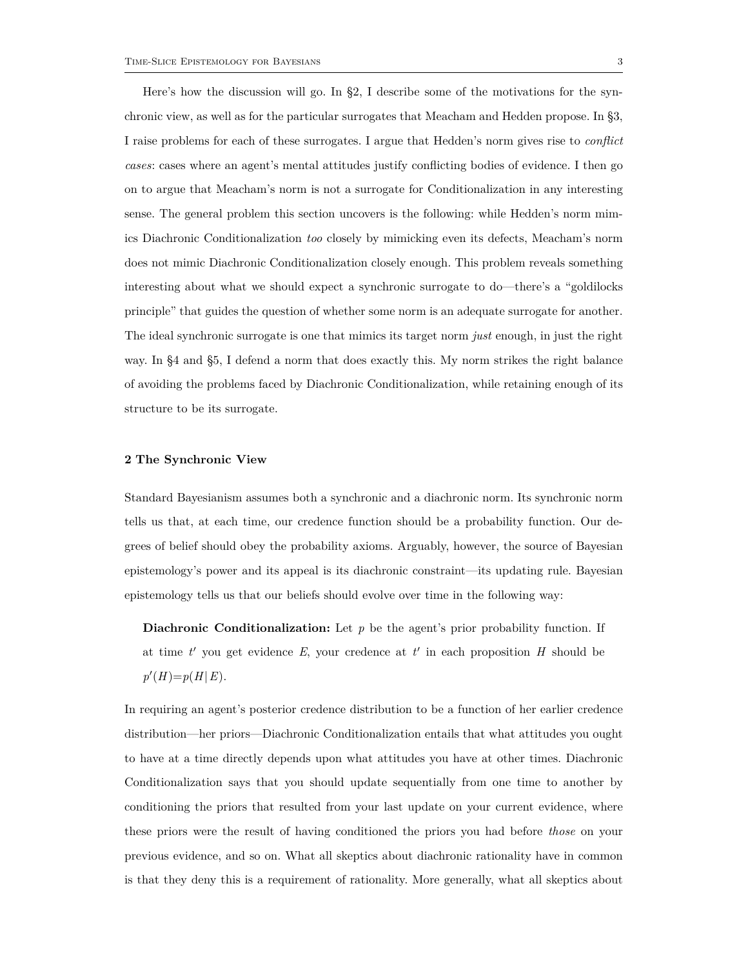Here's how the discussion will go. In §2, I describe some of the motivations for the synchronic view, as well as for the particular surrogates that Meacham and Hedden propose. In §3, I raise problems for each of these surrogates. I argue that Hedden's norm gives rise to *conflict cases*: cases where an agent's mental attitudes justify conflicting bodies of evidence. I then go on to argue that Meacham's norm is not a surrogate for Conditionalization in any interesting sense. The general problem this section uncovers is the following: while Hedden's norm mimics Diachronic Conditionalization *too* closely by mimicking even its defects, Meacham's norm does not mimic Diachronic Conditionalization closely enough. This problem reveals something interesting about what we should expect a synchronic surrogate to do—there's a "goldilocks principle" that guides the question of whether some norm is an adequate surrogate for another. The ideal synchronic surrogate is one that mimics its target norm *just* enough, in just the right way. In §4 and §5, I defend a norm that does exactly this. My norm strikes the right balance of avoiding the problems faced by Diachronic Conditionalization, while retaining enough of its structure to be its surrogate.

## **2 The Synchronic View**

Standard Bayesianism assumes both a synchronic and a diachronic norm. Its synchronic norm tells us that, at each time, our credence function should be a probability function. Our degrees of belief should obey the probability axioms. Arguably, however, the source of Bayesian epistemology's power and its appeal is its diachronic constraint—its updating rule. Bayesian epistemology tells us that our beliefs should evolve over time in the following way:

**Diachronic Conditionalization:** Let *p* be the agent's prior probability function. If at time  $t'$  you get evidence  $E$ , your credence at  $t'$  in each proposition  $H$  should be  $p'(H) = p(H | E).$ 

In requiring an agent's posterior credence distribution to be a function of her earlier credence distribution—her priors—Diachronic Conditionalization entails that what attitudes you ought to have at a time directly depends upon what attitudes you have at other times. Diachronic Conditionalization says that you should update sequentially from one time to another by conditioning the priors that resulted from your last update on your current evidence, where these priors were the result of having conditioned the priors you had before *those* on your previous evidence, and so on. What all skeptics about diachronic rationality have in common is that they deny this is a requirement of rationality. More generally, what all skeptics about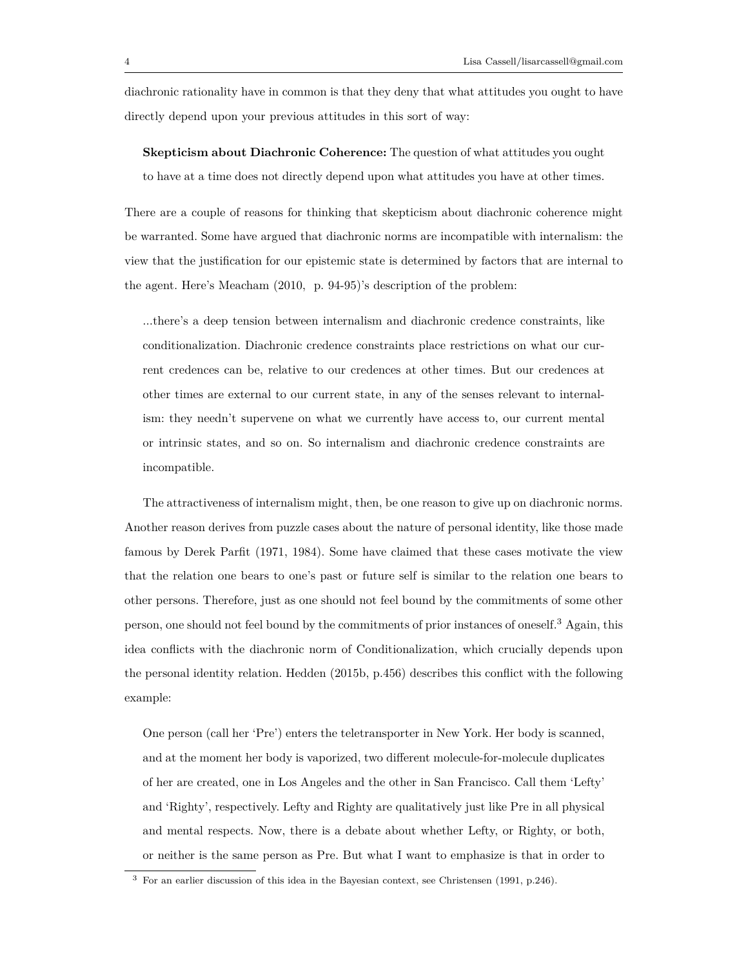diachronic rationality have in common is that they deny that what attitudes you ought to have directly depend upon your previous attitudes in this sort of way:

**Skepticism about Diachronic Coherence:** The question of what attitudes you ought to have at a time does not directly depend upon what attitudes you have at other times.

There are a couple of reasons for thinking that skepticism about diachronic coherence might be warranted. Some have argued that diachronic norms are incompatible with internalism: the view that the justification for our epistemic state is determined by factors that are internal to the agent. Here's Meacham (2010, p. 94-95)'s description of the problem:

...there's a deep tension between internalism and diachronic credence constraints, like conditionalization. Diachronic credence constraints place restrictions on what our current credences can be, relative to our credences at other times. But our credences at other times are external to our current state, in any of the senses relevant to internalism: they needn't supervene on what we currently have access to, our current mental or intrinsic states, and so on. So internalism and diachronic credence constraints are incompatible.

The attractiveness of internalism might, then, be one reason to give up on diachronic norms. Another reason derives from puzzle cases about the nature of personal identity, like those made famous by Derek Parfit (1971, 1984). Some have claimed that these cases motivate the view that the relation one bears to one's past or future self is similar to the relation one bears to other persons. Therefore, just as one should not feel bound by the commitments of some other person, one should not feel bound by the commitments of prior instances of oneself.<sup>3</sup> Again, this idea conflicts with the diachronic norm of Conditionalization, which crucially depends upon the personal identity relation. Hedden (2015b, p.456) describes this conflict with the following example:

One person (call her 'Pre') enters the teletransporter in New York. Her body is scanned, and at the moment her body is vaporized, two different molecule-for-molecule duplicates of her are created, one in Los Angeles and the other in San Francisco. Call them 'Lefty' and 'Righty', respectively. Lefty and Righty are qualitatively just like Pre in all physical and mental respects. Now, there is a debate about whether Lefty, or Righty, or both, or neither is the same person as Pre. But what I want to emphasize is that in order to

<sup>3</sup> For an earlier discussion of this idea in the Bayesian context, see Christensen (1991, p.246).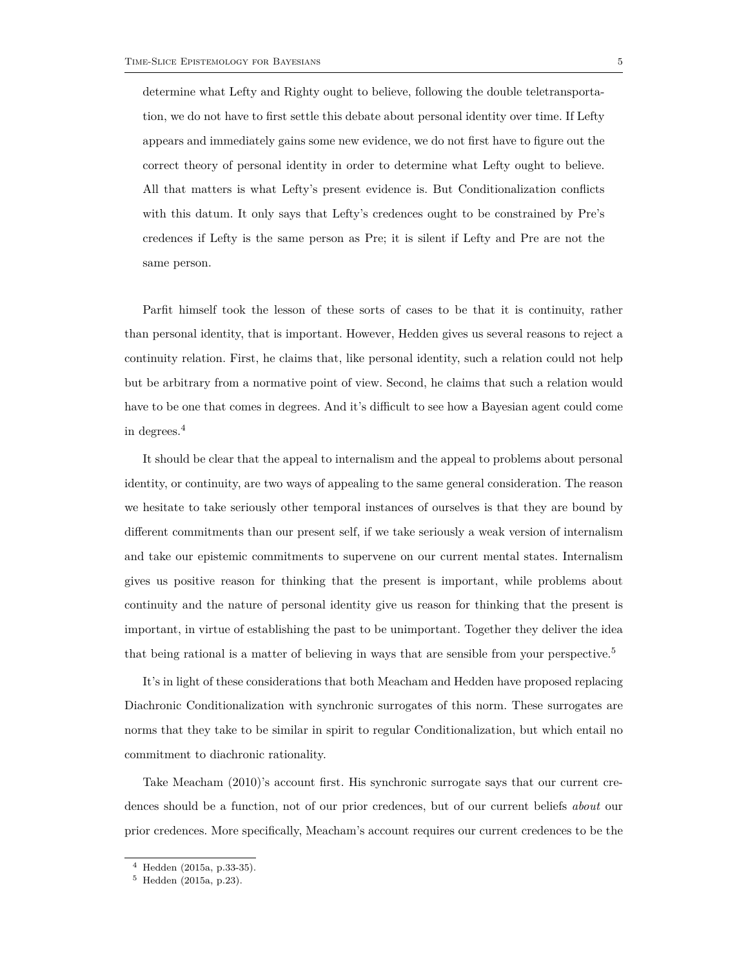determine what Lefty and Righty ought to believe, following the double teletransportation, we do not have to first settle this debate about personal identity over time. If Lefty appears and immediately gains some new evidence, we do not first have to figure out the correct theory of personal identity in order to determine what Lefty ought to believe. All that matters is what Lefty's present evidence is. But Conditionalization conflicts with this datum. It only says that Lefty's credences ought to be constrained by Pre's credences if Lefty is the same person as Pre; it is silent if Lefty and Pre are not the same person.

Parfit himself took the lesson of these sorts of cases to be that it is continuity, rather than personal identity, that is important. However, Hedden gives us several reasons to reject a continuity relation. First, he claims that, like personal identity, such a relation could not help but be arbitrary from a normative point of view. Second, he claims that such a relation would have to be one that comes in degrees. And it's difficult to see how a Bayesian agent could come in degrees.<sup>4</sup>

It should be clear that the appeal to internalism and the appeal to problems about personal identity, or continuity, are two ways of appealing to the same general consideration. The reason we hesitate to take seriously other temporal instances of ourselves is that they are bound by different commitments than our present self, if we take seriously a weak version of internalism and take our epistemic commitments to supervene on our current mental states. Internalism gives us positive reason for thinking that the present is important, while problems about continuity and the nature of personal identity give us reason for thinking that the present is important, in virtue of establishing the past to be unimportant. Together they deliver the idea that being rational is a matter of believing in ways that are sensible from your perspective.<sup>5</sup>

It's in light of these considerations that both Meacham and Hedden have proposed replacing Diachronic Conditionalization with synchronic surrogates of this norm. These surrogates are norms that they take to be similar in spirit to regular Conditionalization, but which entail no commitment to diachronic rationality.

Take Meacham (2010)'s account first. His synchronic surrogate says that our current credences should be a function, not of our prior credences, but of our current beliefs *about* our prior credences. More specifically, Meacham's account requires our current credences to be the

<sup>4</sup> Hedden (2015a, p.33-35).

<sup>5</sup> Hedden (2015a, p.23).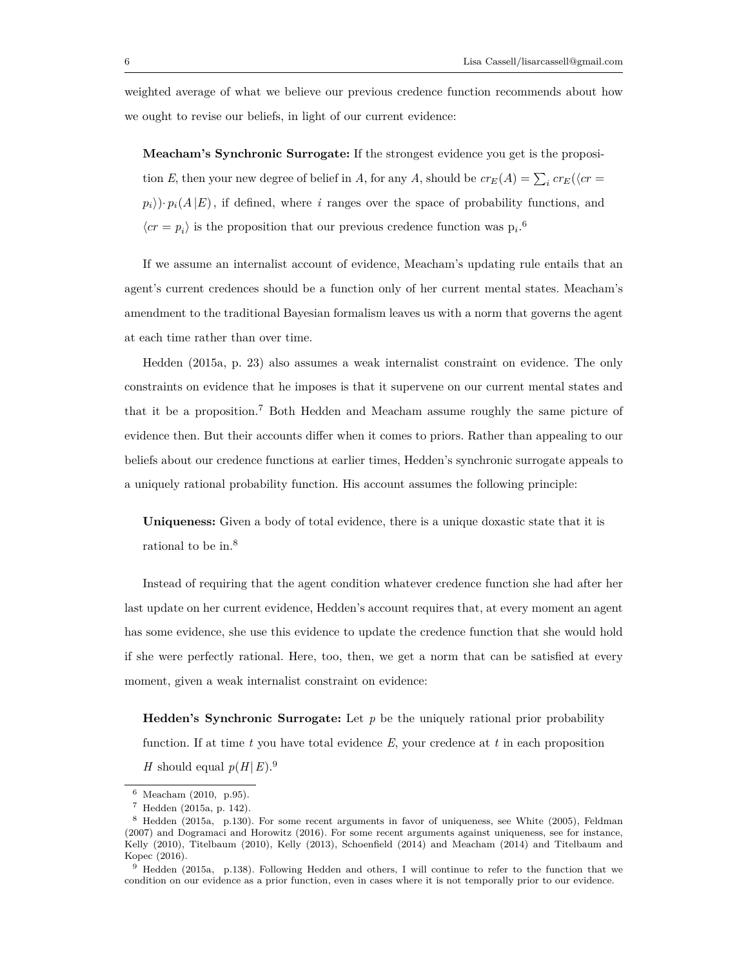weighted average of what we believe our previous credence function recommends about how we ought to revise our beliefs, in light of our current evidence:

**Meacham's Synchronic Surrogate:** If the strongest evidence you get is the proposition *E*, then your new degree of belief in *A*, for any *A*, should be  $cr_E(A) = \sum_i cr_E(\langle cr =$  $p_i$ ) $\cdot$   $p_i(A|E)$ , if defined, where *i* ranges over the space of probability functions, and  $\langle cr = p_i \rangle$  is the proposition that our previous credence function was  $p_i$ .<sup>6</sup>

If we assume an internalist account of evidence, Meacham's updating rule entails that an agent's current credences should be a function only of her current mental states. Meacham's amendment to the traditional Bayesian formalism leaves us with a norm that governs the agent at each time rather than over time.

Hedden (2015a, p. 23) also assumes a weak internalist constraint on evidence. The only constraints on evidence that he imposes is that it supervene on our current mental states and that it be a proposition.<sup>7</sup> Both Hedden and Meacham assume roughly the same picture of evidence then. But their accounts differ when it comes to priors. Rather than appealing to our beliefs about our credence functions at earlier times, Hedden's synchronic surrogate appeals to a uniquely rational probability function. His account assumes the following principle:

**Uniqueness:** Given a body of total evidence, there is a unique doxastic state that it is rational to be in.<sup>8</sup>

Instead of requiring that the agent condition whatever credence function she had after her last update on her current evidence, Hedden's account requires that, at every moment an agent has some evidence, she use this evidence to update the credence function that she would hold if she were perfectly rational. Here, too, then, we get a norm that can be satisfied at every moment, given a weak internalist constraint on evidence:

**Hedden's Synchronic Surrogate:** Let *p* be the uniquely rational prior probability function. If at time *t* you have total evidence *E*, your credence at *t* in each proposition *H* should equal  $p(H|E)$ .<sup>9</sup>

<sup>6</sup> Meacham (2010, p.95).

<sup>7</sup> Hedden (2015a, p. 142).

<sup>8</sup> Hedden (2015a, p.130). For some recent arguments in favor of uniqueness, see White (2005), Feldman (2007) and Dogramaci and Horowitz (2016). For some recent arguments against uniqueness, see for instance, Kelly (2010), Titelbaum (2010), Kelly (2013), Schoenfield (2014) and Meacham (2014) and Titelbaum and Kopec (2016).

<sup>9</sup> Hedden (2015a, p.138). Following Hedden and others, I will continue to refer to the function that we condition on our evidence as a prior function, even in cases where it is not temporally prior to our evidence.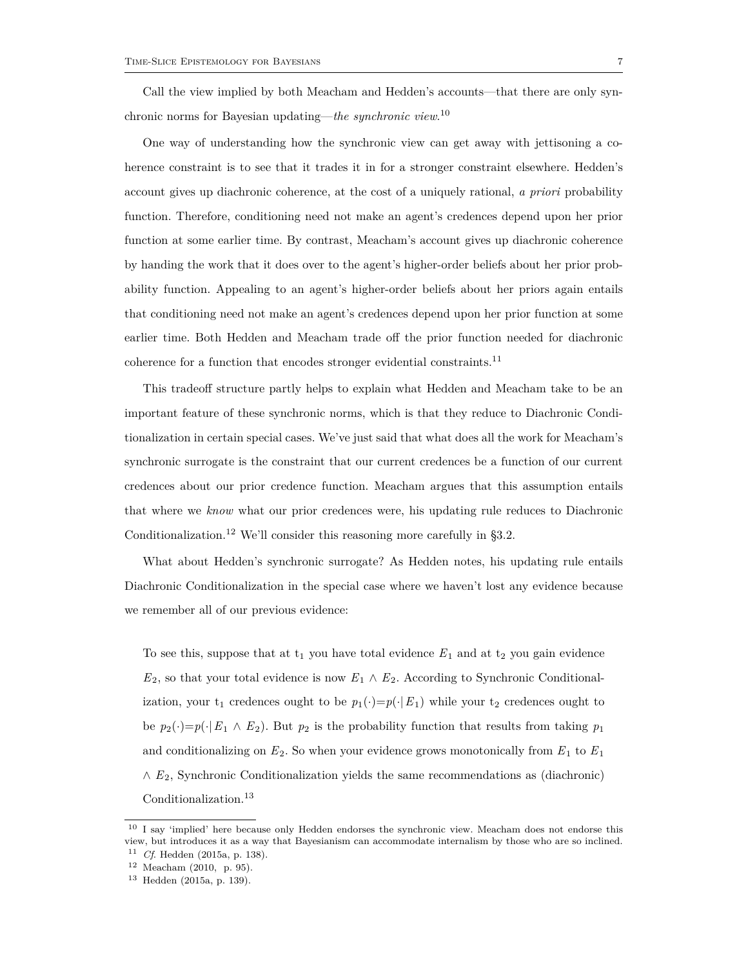Call the view implied by both Meacham and Hedden's accounts—that there are only synchronic norms for Bayesian updating—*the synchronic view*. 10

One way of understanding how the synchronic view can get away with jettisoning a coherence constraint is to see that it trades it in for a stronger constraint elsewhere. Hedden's account gives up diachronic coherence, at the cost of a uniquely rational, *a priori* probability function. Therefore, conditioning need not make an agent's credences depend upon her prior function at some earlier time. By contrast, Meacham's account gives up diachronic coherence by handing the work that it does over to the agent's higher-order beliefs about her prior probability function. Appealing to an agent's higher-order beliefs about her priors again entails that conditioning need not make an agent's credences depend upon her prior function at some earlier time. Both Hedden and Meacham trade off the prior function needed for diachronic coherence for a function that encodes stronger evidential constraints.<sup>11</sup>

This tradeoff structure partly helps to explain what Hedden and Meacham take to be an important feature of these synchronic norms, which is that they reduce to Diachronic Conditionalization in certain special cases. We've just said that what does all the work for Meacham's synchronic surrogate is the constraint that our current credences be a function of our current credences about our prior credence function. Meacham argues that this assumption entails that where we *know* what our prior credences were, his updating rule reduces to Diachronic Conditionalization.<sup>12</sup> We'll consider this reasoning more carefully in  $\S 3.2$ .

What about Hedden's synchronic surrogate? As Hedden notes, his updating rule entails Diachronic Conditionalization in the special case where we haven't lost any evidence because we remember all of our previous evidence:

To see this, suppose that at  $t_1$  you have total evidence  $E_1$  and at  $t_2$  you gain evidence  $E_2$ , so that your total evidence is now  $E_1 \wedge E_2$ . According to Synchronic Conditionalization, your  $t_1$  credences ought to be  $p_1(\cdot)=p(\cdot|E_1)$  while your  $t_2$  credences ought to be  $p_2(\cdot)=p(\cdot|E_1 \wedge E_2)$ . But  $p_2$  is the probability function that results from taking  $p_1$ and conditionalizing on  $E_2$ . So when your evidence grows monotonically from  $E_1$  to  $E_1$ ∧ *E*2, Synchronic Conditionalization yields the same recommendations as (diachronic) Conditionalization.<sup>13</sup>

<sup>&</sup>lt;sup>10</sup> I say 'implied' here because only Hedden endorses the synchronic view. Meacham does not endorse this view, but introduces it as a way that Bayesianism can accommodate internalism by those who are so inclined.

<sup>11</sup> *Cf*. Hedden (2015a, p. 138).

<sup>12</sup> Meacham (2010, p. 95).

 $13$  Hedden (2015a, p. 139).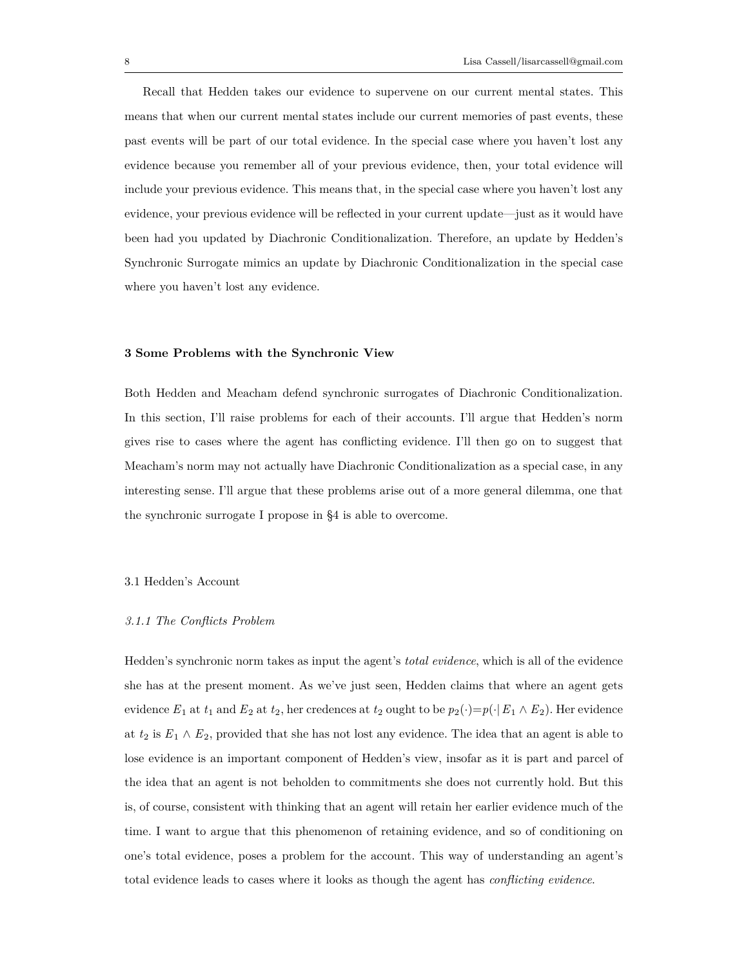Recall that Hedden takes our evidence to supervene on our current mental states. This means that when our current mental states include our current memories of past events, these past events will be part of our total evidence. In the special case where you haven't lost any evidence because you remember all of your previous evidence, then, your total evidence will include your previous evidence. This means that, in the special case where you haven't lost any evidence, your previous evidence will be reflected in your current update—just as it would have been had you updated by Diachronic Conditionalization. Therefore, an update by Hedden's Synchronic Surrogate mimics an update by Diachronic Conditionalization in the special case where you haven't lost any evidence.

#### **3 Some Problems with the Synchronic View**

Both Hedden and Meacham defend synchronic surrogates of Diachronic Conditionalization. In this section, I'll raise problems for each of their accounts. I'll argue that Hedden's norm gives rise to cases where the agent has conflicting evidence. I'll then go on to suggest that Meacham's norm may not actually have Diachronic Conditionalization as a special case, in any interesting sense. I'll argue that these problems arise out of a more general dilemma, one that the synchronic surrogate I propose in §4 is able to overcome.

# 3.1 Hedden's Account

## *3.1.1 The Conflicts Problem*

Hedden's synchronic norm takes as input the agent's *total evidence*, which is all of the evidence she has at the present moment. As we've just seen, Hedden claims that where an agent gets evidence  $E_1$  at  $t_1$  and  $E_2$  at  $t_2$ , her credences at  $t_2$  ought to be  $p_2(\cdot)=p(\cdot | E_1 \wedge E_2)$ . Her evidence at  $t_2$  is  $E_1 \wedge E_2$ , provided that she has not lost any evidence. The idea that an agent is able to lose evidence is an important component of Hedden's view, insofar as it is part and parcel of the idea that an agent is not beholden to commitments she does not currently hold. But this is, of course, consistent with thinking that an agent will retain her earlier evidence much of the time. I want to argue that this phenomenon of retaining evidence, and so of conditioning on one's total evidence, poses a problem for the account. This way of understanding an agent's total evidence leads to cases where it looks as though the agent has *conflicting evidence*.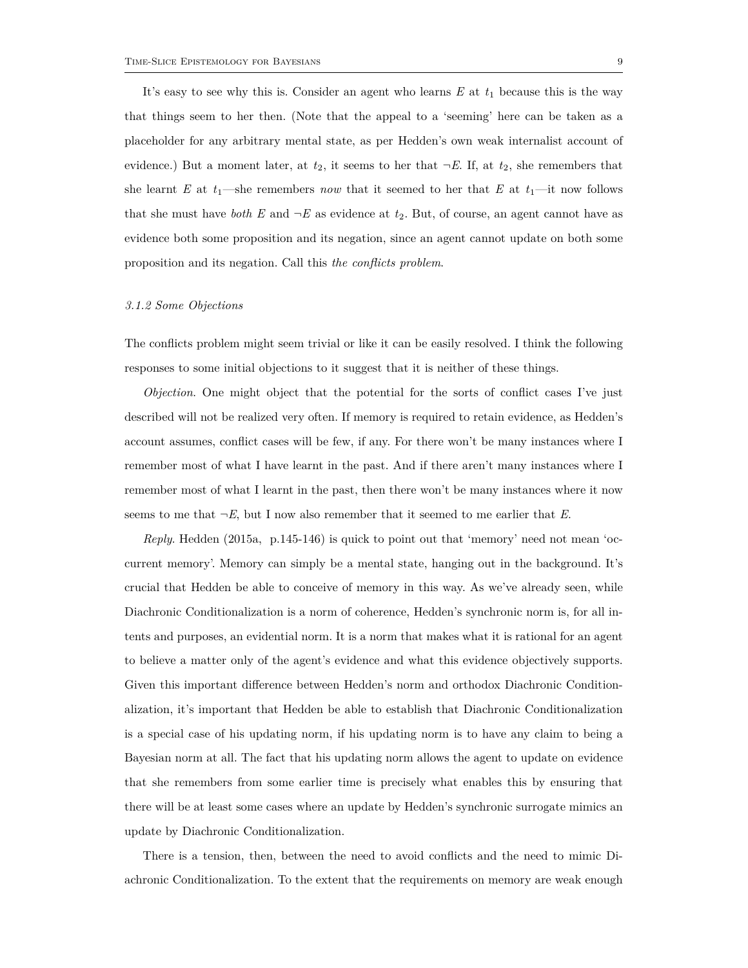It's easy to see why this is. Consider an agent who learns  $E$  at  $t_1$  because this is the way that things seem to her then. (Note that the appeal to a 'seeming' here can be taken as a placeholder for any arbitrary mental state, as per Hedden's own weak internalist account of evidence.) But a moment later, at  $t_2$ , it seems to her that  $\neg E$ . If, at  $t_2$ , she remembers that she learnt *E* at  $t_1$ —she remembers *now* that it seemed to her that *E* at  $t_1$ —it now follows that she must have *both* E and  $\neg E$  as evidence at  $t_2$ . But, of course, an agent cannot have as evidence both some proposition and its negation, since an agent cannot update on both some proposition and its negation. Call this *the conflicts problem*.

#### *3.1.2 Some Objections*

The conflicts problem might seem trivial or like it can be easily resolved. I think the following responses to some initial objections to it suggest that it is neither of these things.

*Objection*. One might object that the potential for the sorts of conflict cases I've just described will not be realized very often. If memory is required to retain evidence, as Hedden's account assumes, conflict cases will be few, if any. For there won't be many instances where I remember most of what I have learnt in the past. And if there aren't many instances where I remember most of what I learnt in the past, then there won't be many instances where it now seems to me that  $\neg E$ , but I now also remember that it seemed to me earlier that  $E$ .

*Reply*. Hedden (2015a, p.145-146) is quick to point out that 'memory' need not mean 'occurrent memory'. Memory can simply be a mental state, hanging out in the background. It's crucial that Hedden be able to conceive of memory in this way. As we've already seen, while Diachronic Conditionalization is a norm of coherence, Hedden's synchronic norm is, for all intents and purposes, an evidential norm. It is a norm that makes what it is rational for an agent to believe a matter only of the agent's evidence and what this evidence objectively supports. Given this important difference between Hedden's norm and orthodox Diachronic Conditionalization, it's important that Hedden be able to establish that Diachronic Conditionalization is a special case of his updating norm, if his updating norm is to have any claim to being a Bayesian norm at all. The fact that his updating norm allows the agent to update on evidence that she remembers from some earlier time is precisely what enables this by ensuring that there will be at least some cases where an update by Hedden's synchronic surrogate mimics an update by Diachronic Conditionalization.

There is a tension, then, between the need to avoid conflicts and the need to mimic Diachronic Conditionalization. To the extent that the requirements on memory are weak enough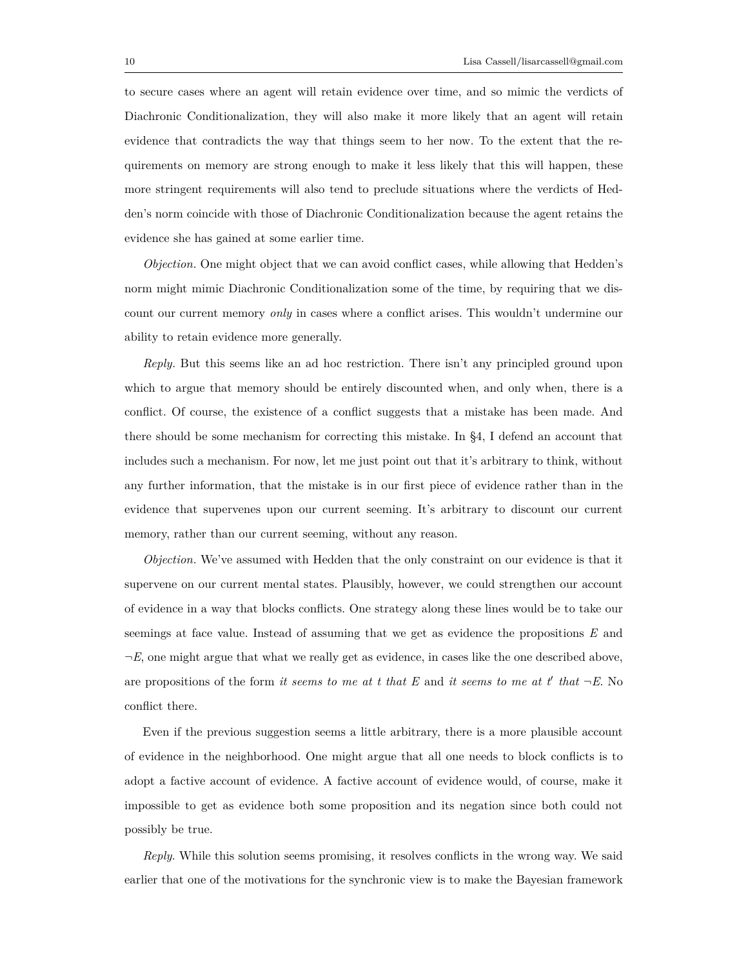to secure cases where an agent will retain evidence over time, and so mimic the verdicts of Diachronic Conditionalization, they will also make it more likely that an agent will retain evidence that contradicts the way that things seem to her now. To the extent that the requirements on memory are strong enough to make it less likely that this will happen, these more stringent requirements will also tend to preclude situations where the verdicts of Hedden's norm coincide with those of Diachronic Conditionalization because the agent retains the evidence she has gained at some earlier time.

*Objection.* One might object that we can avoid conflict cases, while allowing that Hedden's norm might mimic Diachronic Conditionalization some of the time, by requiring that we discount our current memory *only* in cases where a conflict arises. This wouldn't undermine our ability to retain evidence more generally.

*Reply.* But this seems like an ad hoc restriction. There isn't any principled ground upon which to argue that memory should be entirely discounted when, and only when, there is a conflict. Of course, the existence of a conflict suggests that a mistake has been made. And there should be some mechanism for correcting this mistake. In §4, I defend an account that includes such a mechanism. For now, let me just point out that it's arbitrary to think, without any further information, that the mistake is in our first piece of evidence rather than in the evidence that supervenes upon our current seeming. It's arbitrary to discount our current memory, rather than our current seeming, without any reason.

*Objection.* We've assumed with Hedden that the only constraint on our evidence is that it supervene on our current mental states. Plausibly, however, we could strengthen our account of evidence in a way that blocks conflicts. One strategy along these lines would be to take our seemings at face value. Instead of assuming that we get as evidence the propositions *E* and *¬E*, one might argue that what we really get as evidence, in cases like the one described above, are propositions of the form *it seems to me at t that*  $E$  and *it seems to me at t' that*  $\neg E$ . No conflict there.

Even if the previous suggestion seems a little arbitrary, there is a more plausible account of evidence in the neighborhood. One might argue that all one needs to block conflicts is to adopt a factive account of evidence. A factive account of evidence would, of course, make it impossible to get as evidence both some proposition and its negation since both could not possibly be true.

*Reply*. While this solution seems promising, it resolves conflicts in the wrong way. We said earlier that one of the motivations for the synchronic view is to make the Bayesian framework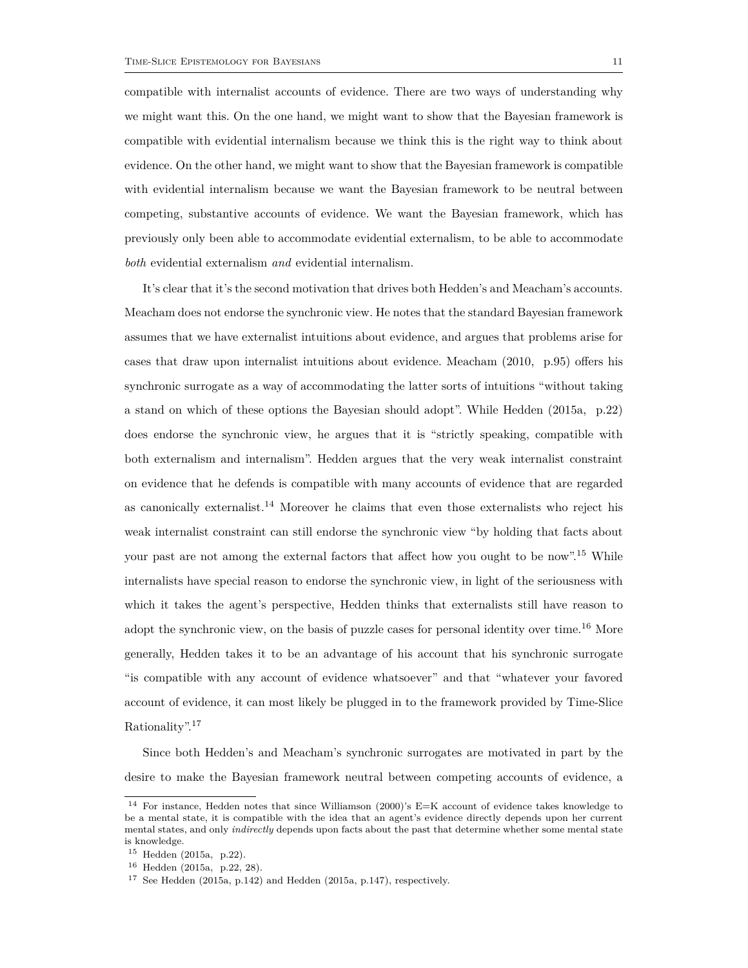*both* evidential externalism *and* evidential internalism.

compatible with internalist accounts of evidence. There are two ways of understanding why we might want this. On the one hand, we might want to show that the Bayesian framework is compatible with evidential internalism because we think this is the right way to think about evidence. On the other hand, we might want to show that the Bayesian framework is compatible with evidential internalism because we want the Bayesian framework to be neutral between competing, substantive accounts of evidence. We want the Bayesian framework, which has previously only been able to accommodate evidential externalism, to be able to accommodate

It's clear that it's the second motivation that drives both Hedden's and Meacham's accounts. Meacham does not endorse the synchronic view. He notes that the standard Bayesian framework assumes that we have externalist intuitions about evidence, and argues that problems arise for cases that draw upon internalist intuitions about evidence. Meacham (2010, p.95) offers his synchronic surrogate as a way of accommodating the latter sorts of intuitions "without taking a stand on which of these options the Bayesian should adopt". While Hedden (2015a, p.22) does endorse the synchronic view, he argues that it is "strictly speaking, compatible with both externalism and internalism". Hedden argues that the very weak internalist constraint on evidence that he defends is compatible with many accounts of evidence that are regarded as canonically externalist.<sup>14</sup> Moreover he claims that even those externalists who reject his weak internalist constraint can still endorse the synchronic view "by holding that facts about your past are not among the external factors that affect how you ought to be now".<sup>15</sup> While internalists have special reason to endorse the synchronic view, in light of the seriousness with which it takes the agent's perspective, Hedden thinks that externalists still have reason to adopt the synchronic view, on the basis of puzzle cases for personal identity over time.<sup>16</sup> More generally, Hedden takes it to be an advantage of his account that his synchronic surrogate "is compatible with any account of evidence whatsoever" and that "whatever your favored account of evidence, it can most likely be plugged in to the framework provided by Time-Slice Rationality".<sup>17</sup>

Since both Hedden's and Meacham's synchronic surrogates are motivated in part by the desire to make the Bayesian framework neutral between competing accounts of evidence, a

<sup>14</sup> For instance, Hedden notes that since Williamson (2000)'s E=K account of evidence takes knowledge to be a mental state, it is compatible with the idea that an agent's evidence directly depends upon her current mental states, and only *indirectly* depends upon facts about the past that determine whether some mental state is knowledge.

<sup>15</sup> Hedden (2015a, p.22).

<sup>16</sup> Hedden (2015a, p.22, 28).

<sup>17</sup> See Hedden (2015a, p.142) and Hedden (2015a, p.147), respectively.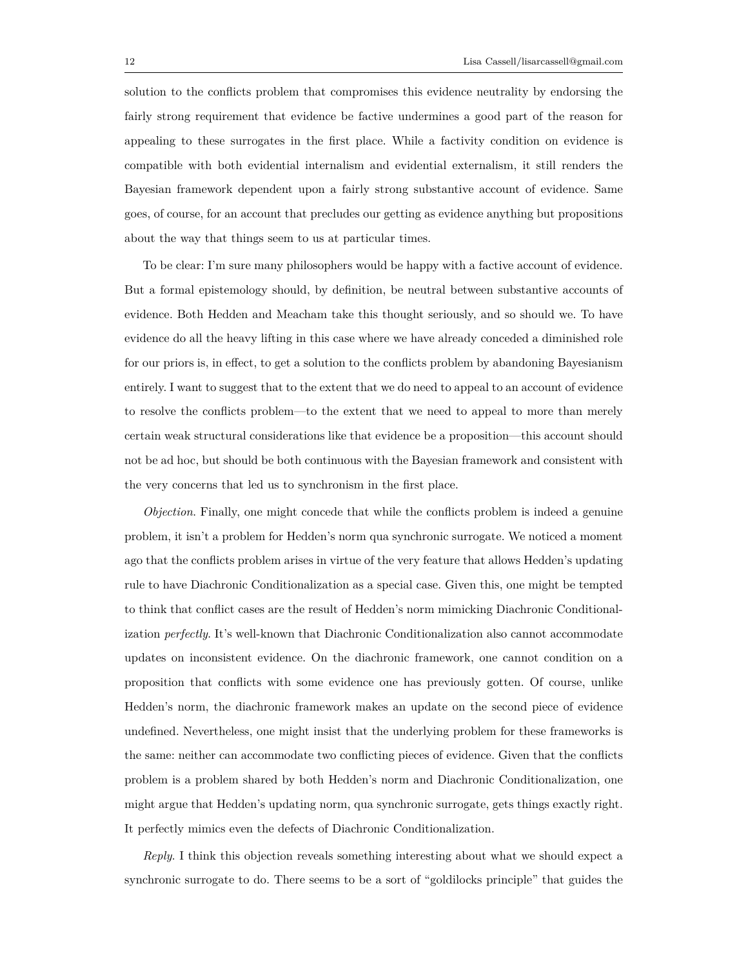solution to the conflicts problem that compromises this evidence neutrality by endorsing the fairly strong requirement that evidence be factive undermines a good part of the reason for appealing to these surrogates in the first place. While a factivity condition on evidence is compatible with both evidential internalism and evidential externalism, it still renders the Bayesian framework dependent upon a fairly strong substantive account of evidence. Same goes, of course, for an account that precludes our getting as evidence anything but propositions about the way that things seem to us at particular times.

To be clear: I'm sure many philosophers would be happy with a factive account of evidence. But a formal epistemology should, by definition, be neutral between substantive accounts of evidence. Both Hedden and Meacham take this thought seriously, and so should we. To have evidence do all the heavy lifting in this case where we have already conceded a diminished role for our priors is, in effect, to get a solution to the conflicts problem by abandoning Bayesianism entirely. I want to suggest that to the extent that we do need to appeal to an account of evidence to resolve the conflicts problem—to the extent that we need to appeal to more than merely certain weak structural considerations like that evidence be a proposition—this account should not be ad hoc, but should be both continuous with the Bayesian framework and consistent with the very concerns that led us to synchronism in the first place.

*Objection*. Finally, one might concede that while the conflicts problem is indeed a genuine problem, it isn't a problem for Hedden's norm qua synchronic surrogate. We noticed a moment ago that the conflicts problem arises in virtue of the very feature that allows Hedden's updating rule to have Diachronic Conditionalization as a special case. Given this, one might be tempted to think that conflict cases are the result of Hedden's norm mimicking Diachronic Conditionalization *perfectly*. It's well-known that Diachronic Conditionalization also cannot accommodate updates on inconsistent evidence. On the diachronic framework, one cannot condition on a proposition that conflicts with some evidence one has previously gotten. Of course, unlike Hedden's norm, the diachronic framework makes an update on the second piece of evidence undefined. Nevertheless, one might insist that the underlying problem for these frameworks is the same: neither can accommodate two conflicting pieces of evidence. Given that the conflicts problem is a problem shared by both Hedden's norm and Diachronic Conditionalization, one might argue that Hedden's updating norm, qua synchronic surrogate, gets things exactly right. It perfectly mimics even the defects of Diachronic Conditionalization.

*Reply*. I think this objection reveals something interesting about what we should expect a synchronic surrogate to do. There seems to be a sort of "goldilocks principle" that guides the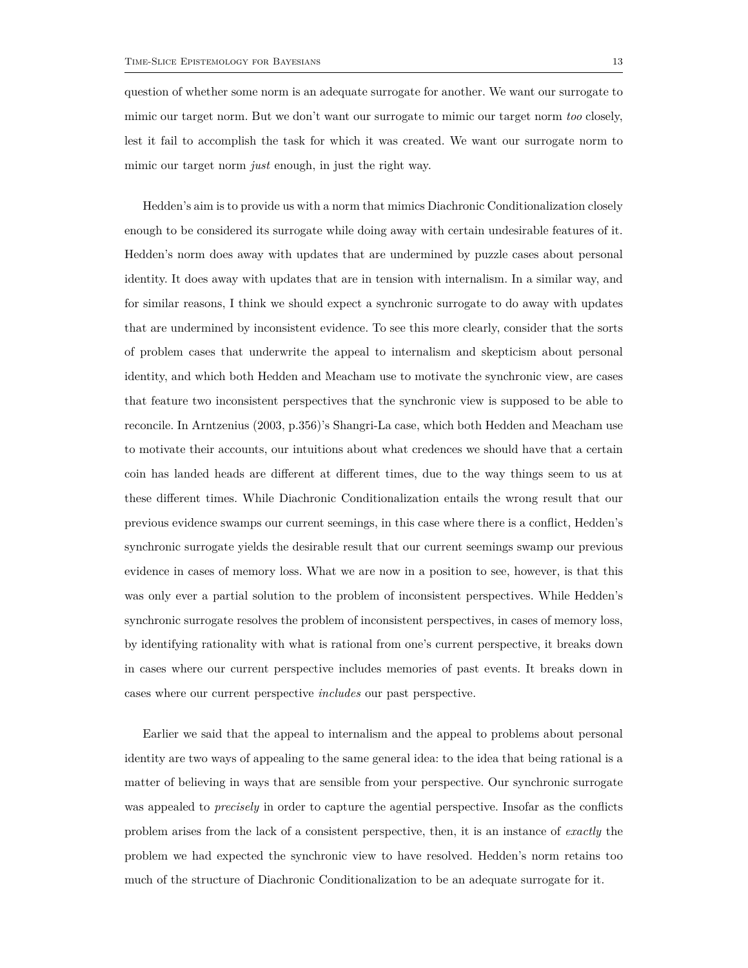question of whether some norm is an adequate surrogate for another. We want our surrogate to mimic our target norm. But we don't want our surrogate to mimic our target norm *too* closely, lest it fail to accomplish the task for which it was created. We want our surrogate norm to mimic our target norm *just* enough, in just the right way.

Hedden's aim is to provide us with a norm that mimics Diachronic Conditionalization closely enough to be considered its surrogate while doing away with certain undesirable features of it. Hedden's norm does away with updates that are undermined by puzzle cases about personal identity. It does away with updates that are in tension with internalism. In a similar way, and for similar reasons, I think we should expect a synchronic surrogate to do away with updates that are undermined by inconsistent evidence. To see this more clearly, consider that the sorts of problem cases that underwrite the appeal to internalism and skepticism about personal identity, and which both Hedden and Meacham use to motivate the synchronic view, are cases that feature two inconsistent perspectives that the synchronic view is supposed to be able to reconcile. In Arntzenius (2003, p.356)'s Shangri-La case, which both Hedden and Meacham use to motivate their accounts, our intuitions about what credences we should have that a certain coin has landed heads are different at different times, due to the way things seem to us at these different times. While Diachronic Conditionalization entails the wrong result that our previous evidence swamps our current seemings, in this case where there is a conflict, Hedden's synchronic surrogate yields the desirable result that our current seemings swamp our previous evidence in cases of memory loss. What we are now in a position to see, however, is that this was only ever a partial solution to the problem of inconsistent perspectives. While Hedden's synchronic surrogate resolves the problem of inconsistent perspectives, in cases of memory loss, by identifying rationality with what is rational from one's current perspective, it breaks down in cases where our current perspective includes memories of past events. It breaks down in cases where our current perspective *includes* our past perspective.

Earlier we said that the appeal to internalism and the appeal to problems about personal identity are two ways of appealing to the same general idea: to the idea that being rational is a matter of believing in ways that are sensible from your perspective. Our synchronic surrogate was appealed to *precisely* in order to capture the agential perspective. Insofar as the conflicts problem arises from the lack of a consistent perspective, then, it is an instance of *exactly* the problem we had expected the synchronic view to have resolved. Hedden's norm retains too much of the structure of Diachronic Conditionalization to be an adequate surrogate for it.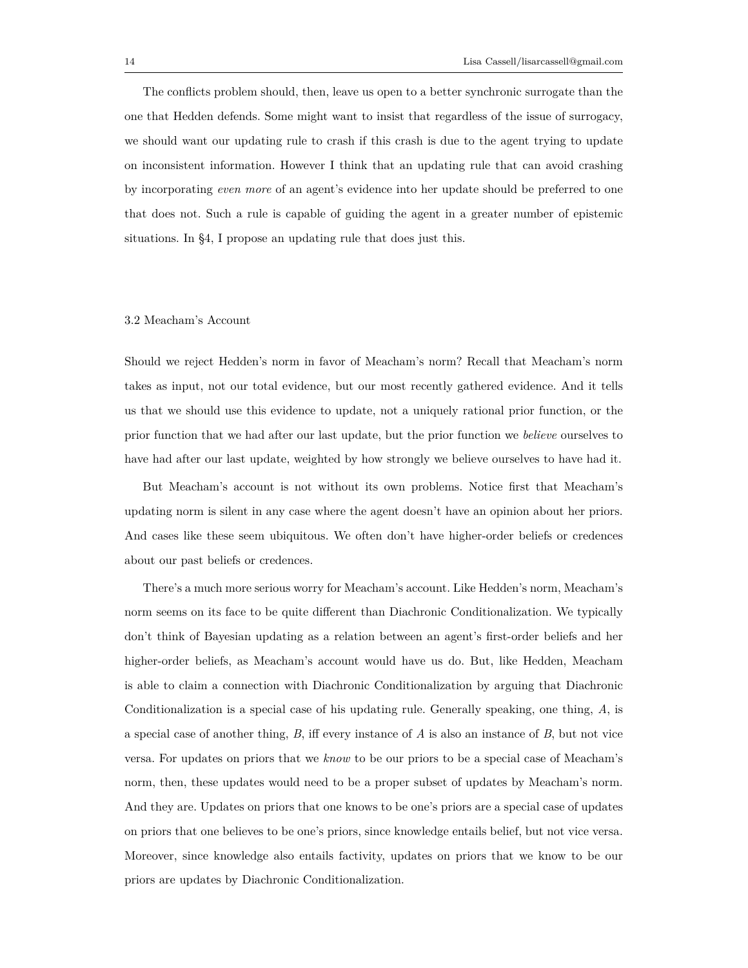The conflicts problem should, then, leave us open to a better synchronic surrogate than the one that Hedden defends. Some might want to insist that regardless of the issue of surrogacy, we should want our updating rule to crash if this crash is due to the agent trying to update on inconsistent information. However I think that an updating rule that can avoid crashing by incorporating *even more* of an agent's evidence into her update should be preferred to one that does not. Such a rule is capable of guiding the agent in a greater number of epistemic situations. In §4, I propose an updating rule that does just this.

# 3.2 Meacham's Account

Should we reject Hedden's norm in favor of Meacham's norm? Recall that Meacham's norm takes as input, not our total evidence, but our most recently gathered evidence. And it tells us that we should use this evidence to update, not a uniquely rational prior function, or the prior function that we had after our last update, but the prior function we *believe* ourselves to have had after our last update, weighted by how strongly we believe ourselves to have had it.

But Meacham's account is not without its own problems. Notice first that Meacham's updating norm is silent in any case where the agent doesn't have an opinion about her priors. And cases like these seem ubiquitous. We often don't have higher-order beliefs or credences about our past beliefs or credences.

There's a much more serious worry for Meacham's account. Like Hedden's norm, Meacham's norm seems on its face to be quite different than Diachronic Conditionalization. We typically don't think of Bayesian updating as a relation between an agent's first-order beliefs and her higher-order beliefs, as Meacham's account would have us do. But, like Hedden, Meacham is able to claim a connection with Diachronic Conditionalization by arguing that Diachronic Conditionalization is a special case of his updating rule. Generally speaking, one thing, *A*, is a special case of another thing, *B*, iff every instance of *A* is also an instance of *B*, but not vice versa. For updates on priors that we *know* to be our priors to be a special case of Meacham's norm, then, these updates would need to be a proper subset of updates by Meacham's norm. And they are. Updates on priors that one knows to be one's priors are a special case of updates on priors that one believes to be one's priors, since knowledge entails belief, but not vice versa. Moreover, since knowledge also entails factivity, updates on priors that we know to be our priors are updates by Diachronic Conditionalization.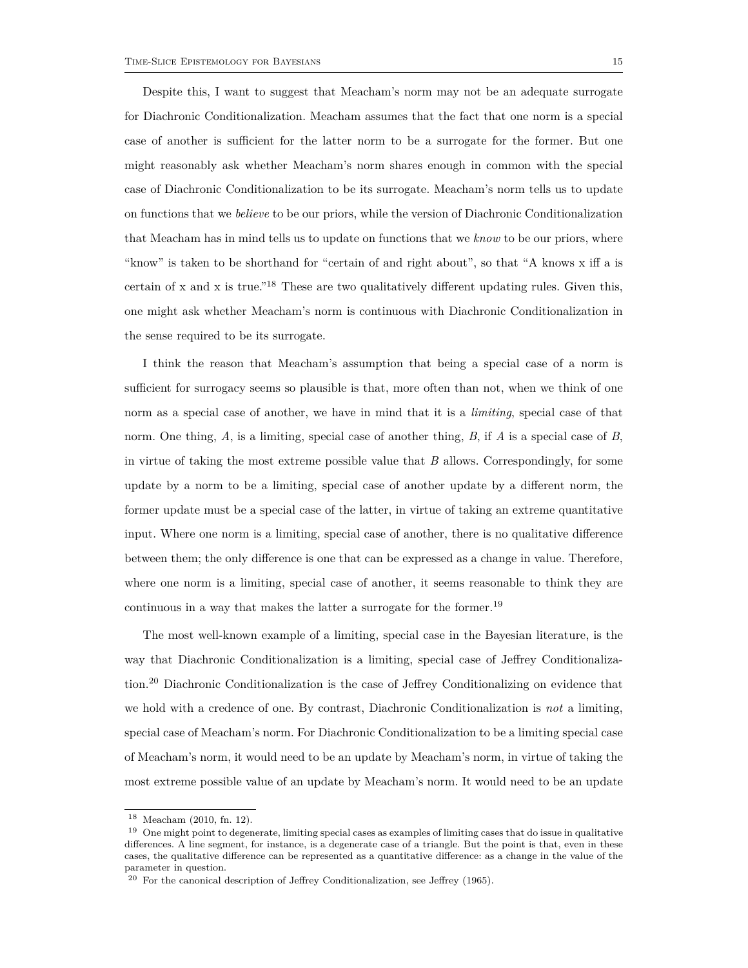Despite this, I want to suggest that Meacham's norm may not be an adequate surrogate for Diachronic Conditionalization. Meacham assumes that the fact that one norm is a special case of another is sufficient for the latter norm to be a surrogate for the former. But one might reasonably ask whether Meacham's norm shares enough in common with the special case of Diachronic Conditionalization to be its surrogate. Meacham's norm tells us to update on functions that we *believe* to be our priors, while the version of Diachronic Conditionalization that Meacham has in mind tells us to update on functions that we *know* to be our priors, where "know" is taken to be shorthand for "certain of and right about", so that "A knows x iff a is certain of x and x is true.<sup>"18</sup> These are two qualitatively different updating rules. Given this, one might ask whether Meacham's norm is continuous with Diachronic Conditionalization in the sense required to be its surrogate.

I think the reason that Meacham's assumption that being a special case of a norm is sufficient for surrogacy seems so plausible is that, more often than not, when we think of one norm as a special case of another, we have in mind that it is a *limiting*, special case of that norm. One thing, *A*, is a limiting, special case of another thing, *B*, if *A* is a special case of *B*, in virtue of taking the most extreme possible value that *B* allows. Correspondingly, for some update by a norm to be a limiting, special case of another update by a different norm, the former update must be a special case of the latter, in virtue of taking an extreme quantitative input. Where one norm is a limiting, special case of another, there is no qualitative difference between them; the only difference is one that can be expressed as a change in value. Therefore, where one norm is a limiting, special case of another, it seems reasonable to think they are continuous in a way that makes the latter a surrogate for the former.<sup>19</sup>

The most well-known example of a limiting, special case in the Bayesian literature, is the way that Diachronic Conditionalization is a limiting, special case of Jeffrey Conditionalization.<sup>20</sup> Diachronic Conditionalization is the case of Jeffrey Conditionalizing on evidence that we hold with a credence of one. By contrast, Diachronic Conditionalization is *not* a limiting, special case of Meacham's norm. For Diachronic Conditionalization to be a limiting special case of Meacham's norm, it would need to be an update by Meacham's norm, in virtue of taking the most extreme possible value of an update by Meacham's norm. It would need to be an update

<sup>18</sup> Meacham (2010, fn. 12).

<sup>19</sup> One might point to degenerate, limiting special cases as examples of limiting cases that do issue in qualitative differences. A line segment, for instance, is a degenerate case of a triangle. But the point is that, even in these cases, the qualitative difference can be represented as a quantitative difference: as a change in the value of the parameter in question.

 $20$  For the canonical description of Jeffrey Conditionalization, see Jeffrey (1965).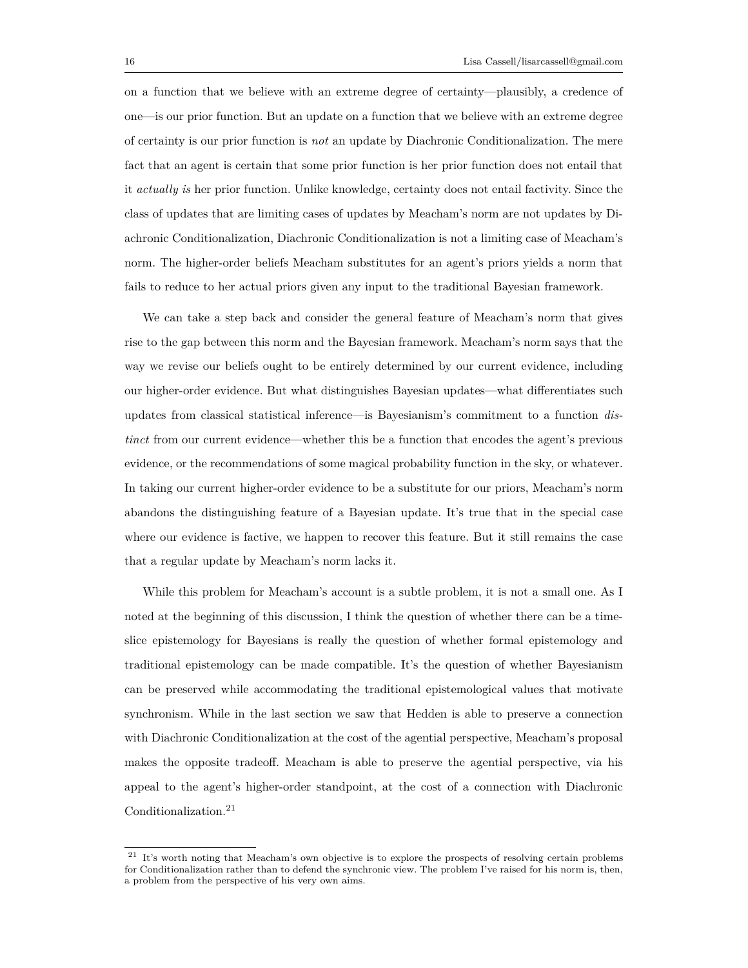on a function that we believe with an extreme degree of certainty—plausibly, a credence of one—is our prior function. But an update on a function that we believe with an extreme degree of certainty is our prior function is *not* an update by Diachronic Conditionalization. The mere fact that an agent is certain that some prior function is her prior function does not entail that it *actually is* her prior function. Unlike knowledge, certainty does not entail factivity. Since the class of updates that are limiting cases of updates by Meacham's norm are not updates by Diachronic Conditionalization, Diachronic Conditionalization is not a limiting case of Meacham's norm. The higher-order beliefs Meacham substitutes for an agent's priors yields a norm that fails to reduce to her actual priors given any input to the traditional Bayesian framework.

We can take a step back and consider the general feature of Meacham's norm that gives rise to the gap between this norm and the Bayesian framework. Meacham's norm says that the way we revise our beliefs ought to be entirely determined by our current evidence, including our higher-order evidence. But what distinguishes Bayesian updates—what differentiates such updates from classical statistical inference—is Bayesianism's commitment to a function *distinct* from our current evidence—whether this be a function that encodes the agent's previous evidence, or the recommendations of some magical probability function in the sky, or whatever. In taking our current higher-order evidence to be a substitute for our priors, Meacham's norm abandons the distinguishing feature of a Bayesian update. It's true that in the special case where our evidence is factive, we happen to recover this feature. But it still remains the case that a regular update by Meacham's norm lacks it.

While this problem for Meacham's account is a subtle problem, it is not a small one. As I noted at the beginning of this discussion, I think the question of whether there can be a timeslice epistemology for Bayesians is really the question of whether formal epistemology and traditional epistemology can be made compatible. It's the question of whether Bayesianism can be preserved while accommodating the traditional epistemological values that motivate synchronism. While in the last section we saw that Hedden is able to preserve a connection with Diachronic Conditionalization at the cost of the agential perspective, Meacham's proposal makes the opposite tradeoff. Meacham is able to preserve the agential perspective, via his appeal to the agent's higher-order standpoint, at the cost of a connection with Diachronic Conditionalization.<sup>21</sup>

<sup>21</sup> It's worth noting that Meacham's own objective is to explore the prospects of resolving certain problems for Conditionalization rather than to defend the synchronic view. The problem I've raised for his norm is, then, a problem from the perspective of his very own aims.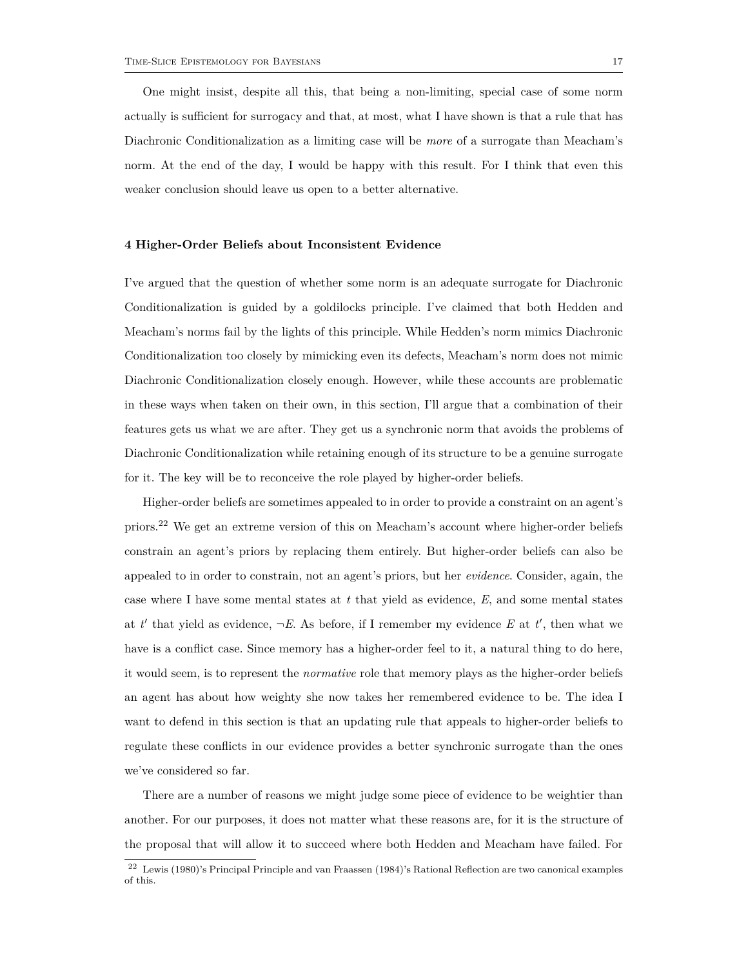One might insist, despite all this, that being a non-limiting, special case of some norm actually is sufficient for surrogacy and that, at most, what I have shown is that a rule that has Diachronic Conditionalization as a limiting case will be *more* of a surrogate than Meacham's norm. At the end of the day, I would be happy with this result. For I think that even this weaker conclusion should leave us open to a better alternative.

#### **4 Higher-Order Beliefs about Inconsistent Evidence**

I've argued that the question of whether some norm is an adequate surrogate for Diachronic Conditionalization is guided by a goldilocks principle. I've claimed that both Hedden and Meacham's norms fail by the lights of this principle. While Hedden's norm mimics Diachronic Conditionalization too closely by mimicking even its defects, Meacham's norm does not mimic Diachronic Conditionalization closely enough. However, while these accounts are problematic in these ways when taken on their own, in this section, I'll argue that a combination of their features gets us what we are after. They get us a synchronic norm that avoids the problems of Diachronic Conditionalization while retaining enough of its structure to be a genuine surrogate for it. The key will be to reconceive the role played by higher-order beliefs.

Higher-order beliefs are sometimes appealed to in order to provide a constraint on an agent's priors.<sup>22</sup> We get an extreme version of this on Meacham's account where higher-order beliefs constrain an agent's priors by replacing them entirely. But higher-order beliefs can also be appealed to in order to constrain, not an agent's priors, but her *evidence*. Consider, again, the case where I have some mental states at *t* that yield as evidence, *E*, and some mental states at  $t'$  that yield as evidence,  $\neg E$ . As before, if I remember my evidence  $E$  at  $t'$ , then what we have is a conflict case. Since memory has a higher-order feel to it, a natural thing to do here, it would seem, is to represent the *normative* role that memory plays as the higher-order beliefs an agent has about how weighty she now takes her remembered evidence to be. The idea I want to defend in this section is that an updating rule that appeals to higher-order beliefs to regulate these conflicts in our evidence provides a better synchronic surrogate than the ones we've considered so far.

There are a number of reasons we might judge some piece of evidence to be weightier than another. For our purposes, it does not matter what these reasons are, for it is the structure of the proposal that will allow it to succeed where both Hedden and Meacham have failed. For

<sup>22</sup> Lewis (1980)'s Principal Principle and van Fraassen (1984)'s Rational Reflection are two canonical examples of this.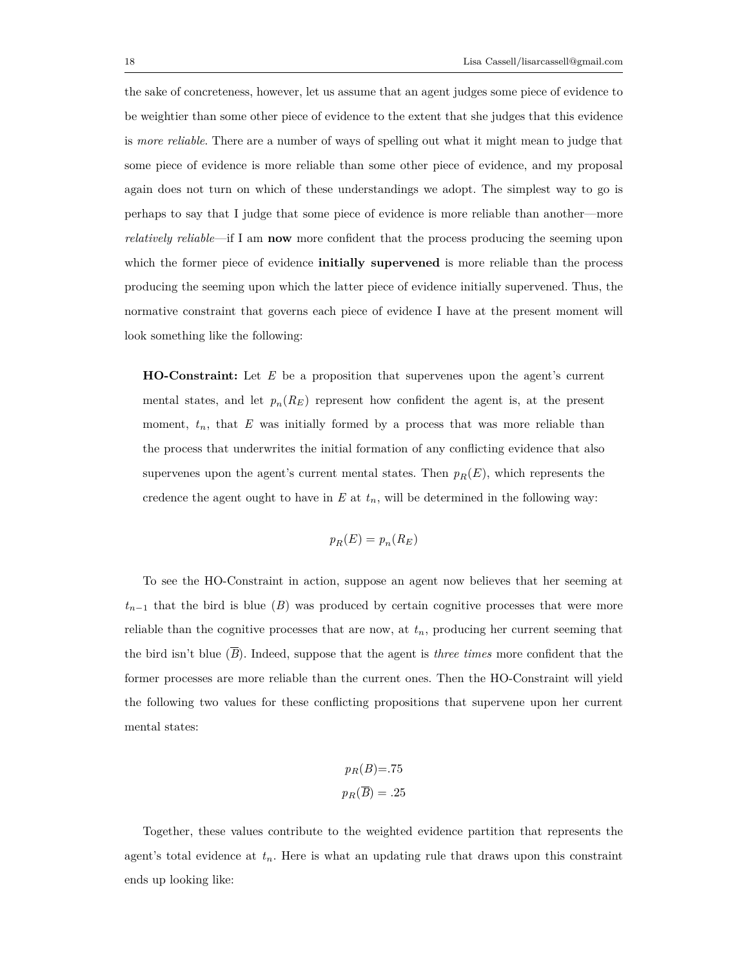the sake of concreteness, however, let us assume that an agent judges some piece of evidence to be weightier than some other piece of evidence to the extent that she judges that this evidence is *more reliable*. There are a number of ways of spelling out what it might mean to judge that some piece of evidence is more reliable than some other piece of evidence, and my proposal again does not turn on which of these understandings we adopt. The simplest way to go is perhaps to say that I judge that some piece of evidence is more reliable than another—more *relatively reliable*—if I am **now** more confident that the process producing the seeming upon which the former piece of evidence **initially supervened** is more reliable than the process producing the seeming upon which the latter piece of evidence initially supervened. Thus, the normative constraint that governs each piece of evidence I have at the present moment will look something like the following:

**HO-Constraint:** Let *E* be a proposition that supervenes upon the agent's current mental states, and let  $p_n(R_E)$  represent how confident the agent is, at the present moment,  $t_n$ , that  $E$  was initially formed by a process that was more reliable than the process that underwrites the initial formation of any conflicting evidence that also supervenes upon the agent's current mental states. Then  $p_R(E)$ , which represents the credence the agent ought to have in  $E$  at  $t_n$ , will be determined in the following way:

$$
p_R(E) = p_n(R_E)
$$

To see the HO-Constraint in action, suppose an agent now believes that her seeming at  $t_{n-1}$  that the bird is blue (*B*) was produced by certain cognitive processes that were more reliable than the cognitive processes that are now, at *tn*, producing her current seeming that the bird isn't blue  $(\overline{B})$ . Indeed, suppose that the agent is *three times* more confident that the former processes are more reliable than the current ones. Then the HO-Constraint will yield the following two values for these conflicting propositions that supervene upon her current mental states:

$$
p_R(B)=.75
$$
  

$$
p_R(\overline{B})=.25
$$

Together, these values contribute to the weighted evidence partition that represents the agent's total evidence at  $t_n$ . Here is what an updating rule that draws upon this constraint ends up looking like: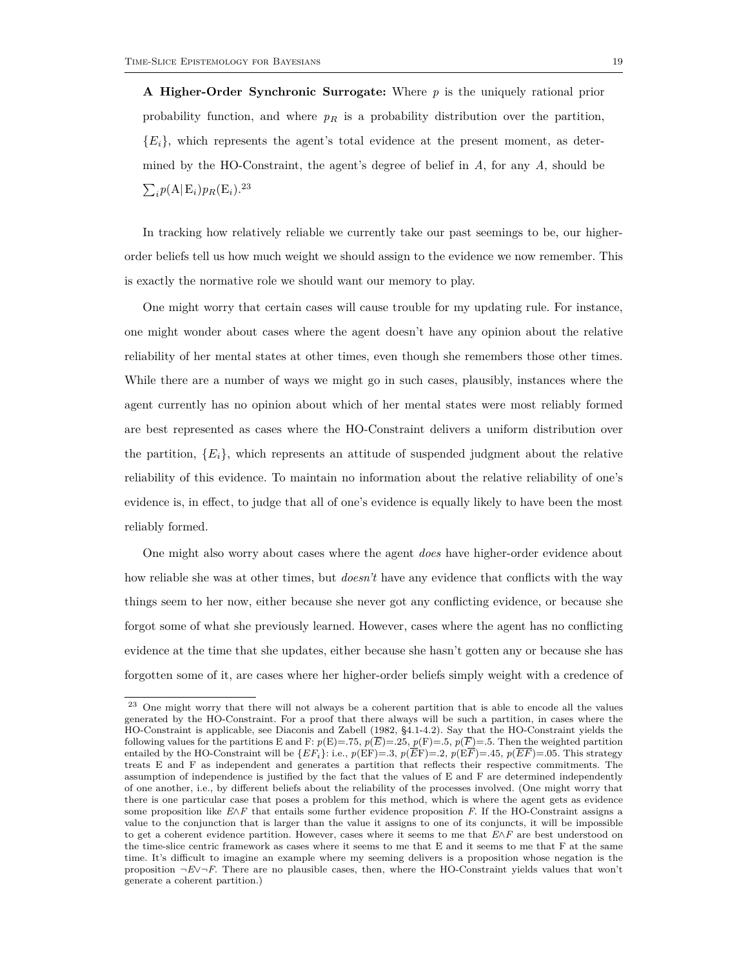**A Higher-Order Synchronic Surrogate:** Where *p* is the uniquely rational prior probability function, and where *p<sup>R</sup>* is a probability distribution over the partition,  ${E_i}$ , which represents the agent's total evidence at the present moment, as determined by the HO-Constraint, the agent's degree of belief in *A*, for any *A*, should be  $\sum_i p(\mathbf{A}|\mathbf{E}_i) p_R(\mathbf{E}_i)$ .<sup>23</sup>

In tracking how relatively reliable we currently take our past seemings to be, our higherorder beliefs tell us how much weight we should assign to the evidence we now remember. This is exactly the normative role we should want our memory to play.

One might worry that certain cases will cause trouble for my updating rule. For instance, one might wonder about cases where the agent doesn't have any opinion about the relative reliability of her mental states at other times, even though she remembers those other times. While there are a number of ways we might go in such cases, plausibly, instances where the agent currently has no opinion about which of her mental states were most reliably formed are best represented as cases where the HO-Constraint delivers a uniform distribution over the partition,  ${E_i}$ , which represents an attitude of suspended judgment about the relative reliability of this evidence. To maintain no information about the relative reliability of one's evidence is, in effect, to judge that all of one's evidence is equally likely to have been the most reliably formed.

One might also worry about cases where the agent *does* have higher-order evidence about how reliable she was at other times, but *doesn't* have any evidence that conflicts with the way things seem to her now, either because she never got any conflicting evidence, or because she forgot some of what she previously learned. However, cases where the agent has no conflicting evidence at the time that she updates, either because she hasn't gotten any or because she has forgotten some of it, are cases where her higher-order beliefs simply weight with a credence of

<sup>23</sup> One might worry that there will not always be a coherent partition that is able to encode all the values generated by the HO-Constraint. For a proof that there always will be such a partition, in cases where the HO-Constraint is applicable, see Diaconis and Zabell (1982, §4.1-4.2). Say that the HO-Constraint yields the following values for the partitions E and F:  $p(E)=.75$ ,  $p(\overline{E})=.25$ ,  $p(F)=.5$ ,  $p(\overline{F})=.5$ . Then the weighted partition entailed by the HO-Constraint will be  $\{EF_i\}$ : i.e.,  $p(EF)=.3$ ,  $p(\overline{EF})=.2$ ,  $p(\overline{EF})=.45$ ,  $p(\overline{EF})=.05$ . This strategy treats E and F as independent and generates a partition that reflects their respective commitments. The assumption of independence is justified by the fact that the values of E and F are determined independently of one another, i.e., by different beliefs about the reliability of the processes involved. (One might worry that there is one particular case that poses a problem for this method, which is where the agent gets as evidence some proposition like *E*∧*F* that entails some further evidence proposition *F*. If the HO-Constraint assigns a value to the conjunction that is larger than the value it assigns to one of its conjuncts, it will be impossible to get a coherent evidence partition. However, cases where it seems to me that *E*∧*F* are best understood on the time-slice centric framework as cases where it seems to me that E and it seems to me that F at the same time. It's difficult to imagine an example where my seeming delivers is a proposition whose negation is the proposition *¬E*∨*¬F*. There are no plausible cases, then, where the HO-Constraint yields values that won't generate a coherent partition.)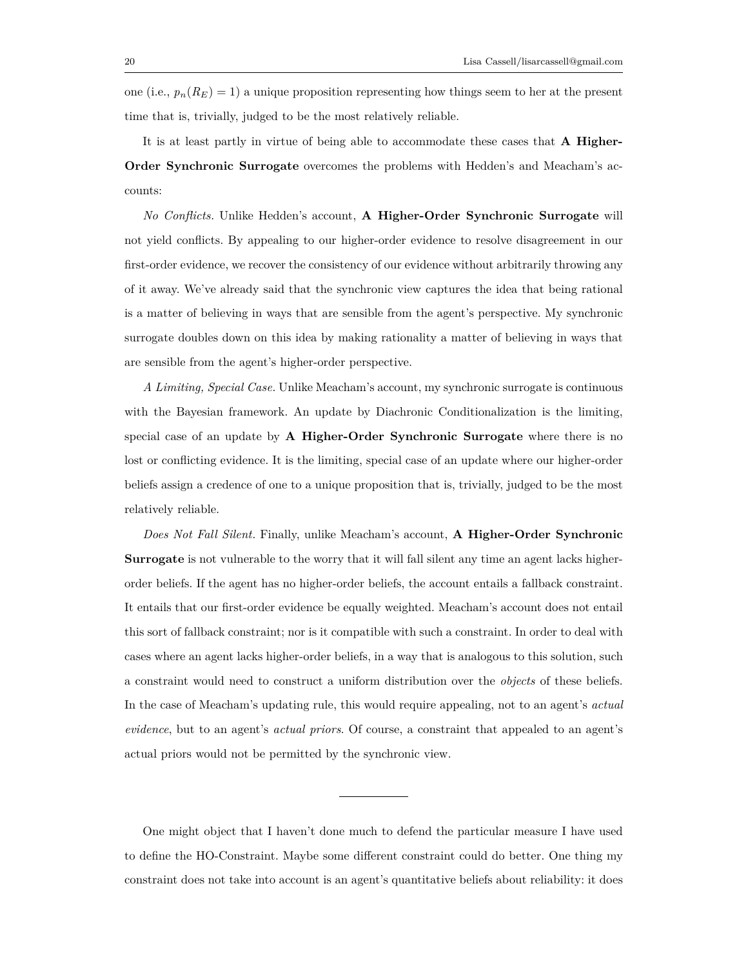one (i.e.,  $p_n(R_E) = 1$ ) a unique proposition representing how things seem to her at the present time that is, trivially, judged to be the most relatively reliable.

It is at least partly in virtue of being able to accommodate these cases that **A Higher-Order Synchronic Surrogate** overcomes the problems with Hedden's and Meacham's accounts:

*No Conflicts.* Unlike Hedden's account, **A Higher-Order Synchronic Surrogate** will not yield conflicts. By appealing to our higher-order evidence to resolve disagreement in our first-order evidence, we recover the consistency of our evidence without arbitrarily throwing any of it away. We've already said that the synchronic view captures the idea that being rational is a matter of believing in ways that are sensible from the agent's perspective. My synchronic surrogate doubles down on this idea by making rationality a matter of believing in ways that are sensible from the agent's higher-order perspective.

*A Limiting, Special Case.* Unlike Meacham's account, my synchronic surrogate is continuous with the Bayesian framework. An update by Diachronic Conditionalization is the limiting, special case of an update by **A Higher-Order Synchronic Surrogate** where there is no lost or conflicting evidence. It is the limiting, special case of an update where our higher-order beliefs assign a credence of one to a unique proposition that is, trivially, judged to be the most relatively reliable.

*Does Not Fall Silent.* Finally, unlike Meacham's account, **A Higher-Order Synchronic Surrogate** is not vulnerable to the worry that it will fall silent any time an agent lacks higherorder beliefs. If the agent has no higher-order beliefs, the account entails a fallback constraint. It entails that our first-order evidence be equally weighted. Meacham's account does not entail this sort of fallback constraint; nor is it compatible with such a constraint. In order to deal with cases where an agent lacks higher-order beliefs, in a way that is analogous to this solution, such a constraint would need to construct a uniform distribution over the *objects* of these beliefs. In the case of Meacham's updating rule, this would require appealing, not to an agent's *actual evidence*, but to an agent's *actual priors*. Of course, a constraint that appealed to an agent's actual priors would not be permitted by the synchronic view.

One might object that I haven't done much to defend the particular measure I have used to define the HO-Constraint. Maybe some different constraint could do better. One thing my constraint does not take into account is an agent's quantitative beliefs about reliability: it does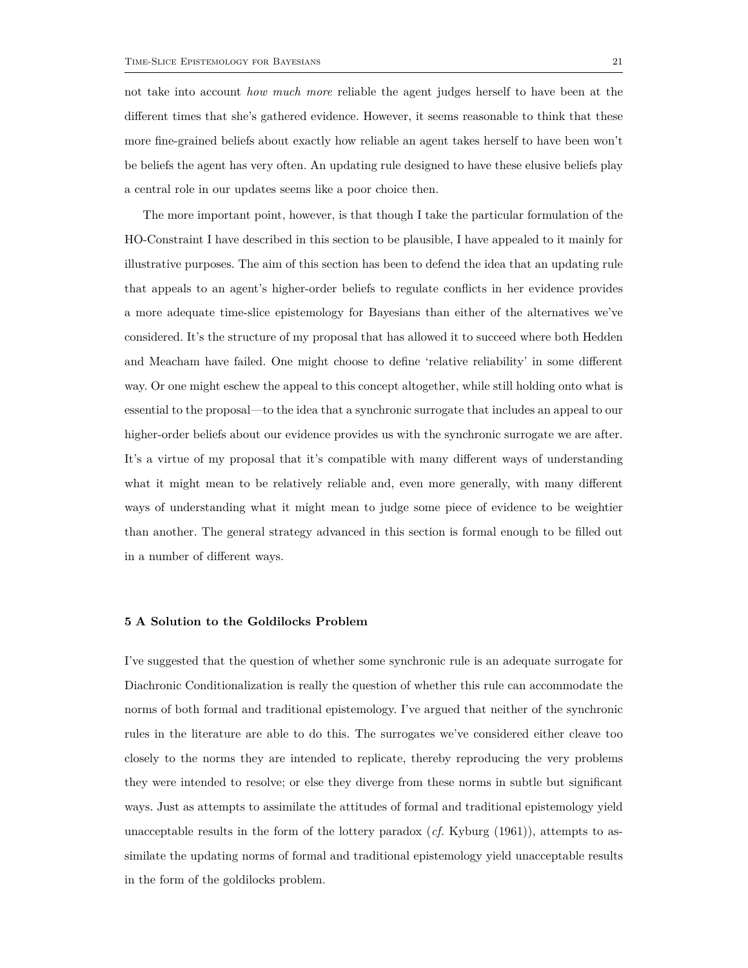not take into account *how much more* reliable the agent judges herself to have been at the different times that she's gathered evidence. However, it seems reasonable to think that these more fine-grained beliefs about exactly how reliable an agent takes herself to have been won't be beliefs the agent has very often. An updating rule designed to have these elusive beliefs play a central role in our updates seems like a poor choice then.

The more important point, however, is that though I take the particular formulation of the HO-Constraint I have described in this section to be plausible, I have appealed to it mainly for illustrative purposes. The aim of this section has been to defend the idea that an updating rule that appeals to an agent's higher-order beliefs to regulate conflicts in her evidence provides a more adequate time-slice epistemology for Bayesians than either of the alternatives we've considered. It's the structure of my proposal that has allowed it to succeed where both Hedden and Meacham have failed. One might choose to define 'relative reliability' in some different way. Or one might eschew the appeal to this concept altogether, while still holding onto what is essential to the proposal—to the idea that a synchronic surrogate that includes an appeal to our higher-order beliefs about our evidence provides us with the synchronic surrogate we are after. It's a virtue of my proposal that it's compatible with many different ways of understanding what it might mean to be relatively reliable and, even more generally, with many different ways of understanding what it might mean to judge some piece of evidence to be weightier than another. The general strategy advanced in this section is formal enough to be filled out in a number of different ways.

# **5 A Solution to the Goldilocks Problem**

I've suggested that the question of whether some synchronic rule is an adequate surrogate for Diachronic Conditionalization is really the question of whether this rule can accommodate the norms of both formal and traditional epistemology. I've argued that neither of the synchronic rules in the literature are able to do this. The surrogates we've considered either cleave too closely to the norms they are intended to replicate, thereby reproducing the very problems they were intended to resolve; or else they diverge from these norms in subtle but significant ways. Just as attempts to assimilate the attitudes of formal and traditional epistemology yield unacceptable results in the form of the lottery paradox (*cf.* Kyburg (1961)), attempts to assimilate the updating norms of formal and traditional epistemology yield unacceptable results in the form of the goldilocks problem.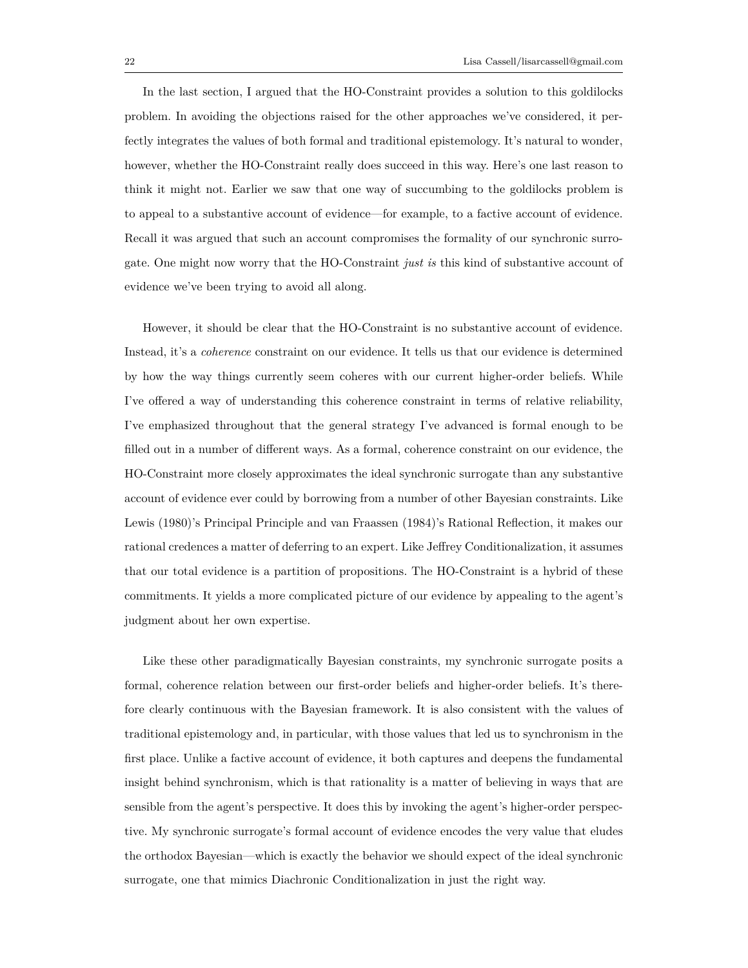In the last section, I argued that the HO-Constraint provides a solution to this goldilocks problem. In avoiding the objections raised for the other approaches we've considered, it perfectly integrates the values of both formal and traditional epistemology. It's natural to wonder, however, whether the HO-Constraint really does succeed in this way. Here's one last reason to think it might not. Earlier we saw that one way of succumbing to the goldilocks problem is to appeal to a substantive account of evidence—for example, to a factive account of evidence. Recall it was argued that such an account compromises the formality of our synchronic surrogate. One might now worry that the HO-Constraint *just is* this kind of substantive account of evidence we've been trying to avoid all along.

However, it should be clear that the HO-Constraint is no substantive account of evidence. Instead, it's a *coherence* constraint on our evidence. It tells us that our evidence is determined by how the way things currently seem coheres with our current higher-order beliefs. While I've offered a way of understanding this coherence constraint in terms of relative reliability, I've emphasized throughout that the general strategy I've advanced is formal enough to be filled out in a number of different ways. As a formal, coherence constraint on our evidence, the HO-Constraint more closely approximates the ideal synchronic surrogate than any substantive account of evidence ever could by borrowing from a number of other Bayesian constraints. Like Lewis (1980)'s Principal Principle and van Fraassen (1984)'s Rational Reflection, it makes our rational credences a matter of deferring to an expert. Like Jeffrey Conditionalization, it assumes that our total evidence is a partition of propositions. The HO-Constraint is a hybrid of these commitments. It yields a more complicated picture of our evidence by appealing to the agent's judgment about her own expertise.

Like these other paradigmatically Bayesian constraints, my synchronic surrogate posits a formal, coherence relation between our first-order beliefs and higher-order beliefs. It's therefore clearly continuous with the Bayesian framework. It is also consistent with the values of traditional epistemology and, in particular, with those values that led us to synchronism in the first place. Unlike a factive account of evidence, it both captures and deepens the fundamental insight behind synchronism, which is that rationality is a matter of believing in ways that are sensible from the agent's perspective. It does this by invoking the agent's higher-order perspective. My synchronic surrogate's formal account of evidence encodes the very value that eludes the orthodox Bayesian—which is exactly the behavior we should expect of the ideal synchronic surrogate, one that mimics Diachronic Conditionalization in just the right way.